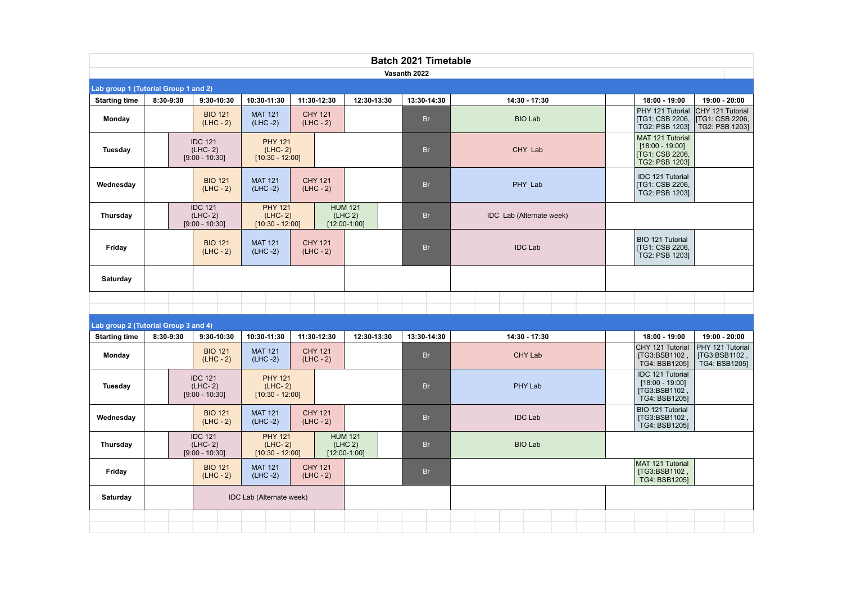| <b>Batch 2021 Timetable</b>          |                                                                 |                                                                                                |                                                  |                               |                                             |                |                                                    |                                                                                                                              |  |  |  |  |  |  |
|--------------------------------------|-----------------------------------------------------------------|------------------------------------------------------------------------------------------------|--------------------------------------------------|-------------------------------|---------------------------------------------|----------------|----------------------------------------------------|------------------------------------------------------------------------------------------------------------------------------|--|--|--|--|--|--|
|                                      |                                                                 |                                                                                                |                                                  |                               |                                             | Vasanth 2022   |                                                    |                                                                                                                              |  |  |  |  |  |  |
| Lab group 1 (Tutorial Group 1 and 2) |                                                                 |                                                                                                |                                                  |                               |                                             |                |                                                    |                                                                                                                              |  |  |  |  |  |  |
| <b>Starting time</b>                 | 8:30-9:30                                                       | 9:30-10:30                                                                                     | 10:30-11:30<br>11:30-12:30                       |                               | 12:30-13:30                                 | 13:30-14:30    | 14:30 - 17:30                                      | 18:00 - 19:00<br>19:00 - 20:00                                                                                               |  |  |  |  |  |  |
| Monday                               |                                                                 | <b>BIO 121</b><br>$(LHC - 2)$                                                                  |                                                  | <b>CHY 121</b><br>$(LHC - 2)$ |                                             | <b>Br</b>      | <b>BIO Lab</b>                                     | PHY 121 Tutorial<br>CHY 121 Tutorial<br><b>ITG1: CSB 2206,</b><br><b>ITG1: CSB 2206.</b><br>TG2: PSB 12031<br>TG2: PSB 12031 |  |  |  |  |  |  |
| Tuesday                              |                                                                 | <b>IDC 121</b><br>$(LHC-2)$<br>$[9:00 - 10:30]$                                                | <b>PHY 121</b><br>$(LHC-2)$<br>$[10:30 - 12:00]$ |                               |                                             | <b>Br</b>      | CHY Lab                                            | MAT 121 Tutorial<br>$[18:00 - 19:00]$<br>[TG1: CSB 2206,<br>TG2: PSB 1203]                                                   |  |  |  |  |  |  |
| Wednesday                            |                                                                 | <b>BIO 121</b><br>$(LHC - 2)$                                                                  | <b>MAT 121</b><br>$(LHC -2)$                     | <b>CHY 121</b><br>$(LHC - 2)$ |                                             | <b>Br</b>      | PHY Lab                                            | IDC 121 Tutorial<br><b>[TG1: CSB 2206,</b><br>TG2: PSB 1203]                                                                 |  |  |  |  |  |  |
| Thursday                             |                                                                 | <b>IDC 121</b><br>$(LHC-2)$<br>$[9:00 - 10:30]$                                                | <b>PHY 121</b><br>$(LHC-2)$<br>$[10:30 - 12:00]$ |                               | <b>HUM 121</b><br>(LHC 2)<br>$[12:00-1:00]$ | <b>Br</b>      | IDC Lab (Alternate week)                           |                                                                                                                              |  |  |  |  |  |  |
| Friday                               |                                                                 | <b>BIO 121</b><br>$(LHC - 2)$                                                                  | <b>MAT 121</b><br>$(LHC -2)$                     | <b>CHY 121</b><br>$(LHC - 2)$ |                                             | <b>Br</b>      | <b>IDC Lab</b>                                     | BIO 121 Tutorial<br>TG1: CSB 2206,<br>TG2: PSB 1203]                                                                         |  |  |  |  |  |  |
| Saturday                             |                                                                 |                                                                                                |                                                  |                               |                                             |                |                                                    |                                                                                                                              |  |  |  |  |  |  |
|                                      |                                                                 |                                                                                                |                                                  |                               |                                             |                |                                                    |                                                                                                                              |  |  |  |  |  |  |
|                                      |                                                                 |                                                                                                |                                                  |                               |                                             |                |                                                    |                                                                                                                              |  |  |  |  |  |  |
| <b>Starting time</b>                 | Lab group 2 (Tutorial Group 3 and 4)<br>9:30-10:30<br>8:30-9:30 |                                                                                                | 10:30-11:30                                      | 11:30-12:30                   | 12:30-13:30                                 | 13:30-14:30    | 14:30 - 17:30                                      | 18:00 - 19:00<br>19:00 - 20:00                                                                                               |  |  |  |  |  |  |
| Monday                               |                                                                 | <b>BIO 121</b><br>$(LHC - 2)$                                                                  | <b>MAT 121</b><br>$(LHC -2)$                     | <b>CHY 121</b><br>$(LHC - 2)$ |                                             | <b>Br</b>      | <b>CHY Lab</b>                                     | CHY 121 Tutorial<br>PHY 121 Tutorial<br>[TG3:BSB1102,<br>[TG3:BSB1102,<br>TG4: BSB1205]<br>TG4: BSB12051                     |  |  |  |  |  |  |
| Tuesday                              |                                                                 | <b>IDC 121</b><br>$(LHC-2)$<br>$[9:00 - 10:30]$                                                | <b>PHY 121</b><br>$(LHC-2)$<br>$[10:30 - 12:00]$ |                               |                                             | <b>Br</b>      | PHY Lab                                            | <b>IDC 121 Tutorial</b><br>$[18:00 - 19:00]$<br>[TG3:BSB1102<br>TG4: BSB1205]                                                |  |  |  |  |  |  |
| Wednesday                            |                                                                 | <b>CHY 121</b><br><b>BIO 121</b><br><b>MAT 121</b><br>$(LHC -2)$<br>$(LHC - 2)$<br>$(LHC - 2)$ |                                                  |                               | <b>Br</b>                                   | <b>IDC Lab</b> | BIO 121 Tutorial<br>[TG3:BSB1102,<br>TG4: BSB1205] |                                                                                                                              |  |  |  |  |  |  |
| Thursday                             |                                                                 | <b>IDC 121</b><br>$(LHC-2)$<br>$[9:00 - 10:30]$                                                | <b>PHY 121</b><br>$(LHC-2)$<br>$[10:30 - 12:00]$ |                               | <b>HUM 121</b><br>(LHC 2)<br>$[12:00-1:00]$ | <b>Br</b>      | <b>BIO Lab</b>                                     |                                                                                                                              |  |  |  |  |  |  |
| Friday                               |                                                                 | <b>BIO 121</b><br>$(LHC - 2)$                                                                  | <b>MAT 121</b><br>$(LHC -2)$                     | <b>CHY 121</b><br>$(LHC - 2)$ |                                             | <b>Br</b>      |                                                    | MAT 121 Tutorial<br>[TG3:BSB1102,<br>TG4: BSB12051                                                                           |  |  |  |  |  |  |
| Saturday                             |                                                                 |                                                                                                | IDC Lab (Alternate week)                         |                               |                                             |                |                                                    |                                                                                                                              |  |  |  |  |  |  |
|                                      |                                                                 |                                                                                                |                                                  |                               |                                             |                |                                                    |                                                                                                                              |  |  |  |  |  |  |